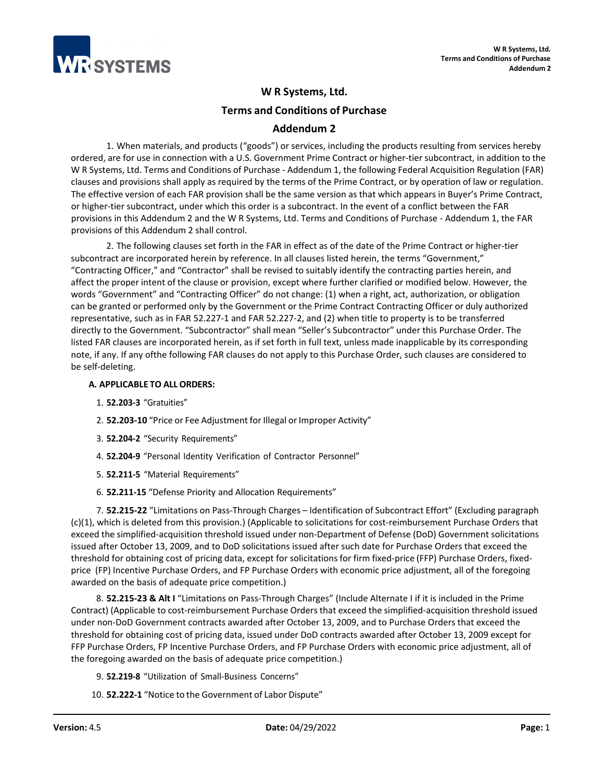

# **W R Systems, Ltd. Terms and Conditions of Purchase Addendum 2**

1. When materials, and products ("goods") or services, including the products resulting from services hereby ordered, are for use in connection with a U.S. Government Prime Contract or higher-tier subcontract, in addition to the W R Systems, Ltd. Terms and Conditions of Purchase - Addendum 1, the following Federal Acquisition Regulation (FAR) clauses and provisions shall apply as required by the terms of the Prime Contract, or by operation of law or regulation. The effective version of each FAR provision shall be the same version as that which appears in Buyer's Prime Contract, or higher-tier subcontract, under which this order is a subcontract. In the event of a conflict between the FAR provisions in this Addendum 2 and the W R Systems, Ltd. Terms and Conditions of Purchase - Addendum 1, the FAR provisions of this Addendum 2 shall control.

2. The following clauses set forth in the FAR in effect as of the date of the Prime Contract or higher-tier subcontract are incorporated herein by reference. In all clauses listed herein, the terms "Government," "Contracting Officer," and "Contractor" shall be revised to suitably identify the contracting parties herein, and affect the proper intent of the clause or provision, except where further clarified or modified below. However, the words "Government" and "Contracting Officer" do not change: (1) when a right, act, authorization, or obligation can be granted or performed only by the Government or the Prime Contract Contracting Officer or duly authorized representative, such as in FAR 52.227-1 and FAR 52.227-2, and (2) when title to property is to be transferred directly to the Government. "Subcontractor" shall mean "Seller's Subcontractor" under this Purchase Order. The listed FAR clauses are incorporated herein, as if set forth in full text, unless made inapplicable by its corresponding note, if any. If any ofthe following FAR clauses do not apply to this Purchase Order, such clauses are considered to be self-deleting.

# **A. APPLICABLE TO ALL ORDERS:**

- 1. **52.203-3** "Gratuities"
- 2. **52.203-10** "Price or Fee Adjustment for Illegal or Improper Activity"
- 3. **52.204-2** "Security Requirements"
- 4. **52.204-9** "Personal Identity Verification of Contractor Personnel"
- 5. **52.211-5** "Material Requirements"
- 6. **52.211-15** "Defense Priority and Allocation Requirements"

7. **52.215-22** "Limitations on Pass-Through Charges – Identification of Subcontract Effort" (Excluding paragraph (c)(1), which is deleted from this provision.) (Applicable to solicitations for cost-reimbursement Purchase Orders that exceed the simplified-acquisition threshold issued under non-Department of Defense (DoD) Government solicitations issued after October 13, 2009, and to DoD solicitations issued after such date for Purchase Orders that exceed the threshold for obtaining cost of pricing data, except for solicitations for firm fixed-price (FFP) Purchase Orders, fixedprice (FP) Incentive Purchase Orders, and FP Purchase Orders with economic price adjustment, all of the foregoing awarded on the basis of adequate price competition.)

8. **52.215-23 & Alt I** "Limitations on Pass-Through Charges" (Include Alternate I if it is included in the Prime Contract) (Applicable to cost-reimbursement Purchase Orders that exceed the simplified-acquisition threshold issued under non-DoD Government contracts awarded after October 13, 2009, and to Purchase Orders that exceed the threshold for obtaining cost of pricing data, issued under DoD contracts awarded after October 13, 2009 except for FFP Purchase Orders, FP Incentive Purchase Orders, and FP Purchase Orders with economic price adjustment, all of the foregoing awarded on the basis of adequate price competition.)

- 9. **52.219-8** "Utilization of Small-Business Concerns"
- 10. **52.222-1** "Notice to the Government of Labor Dispute"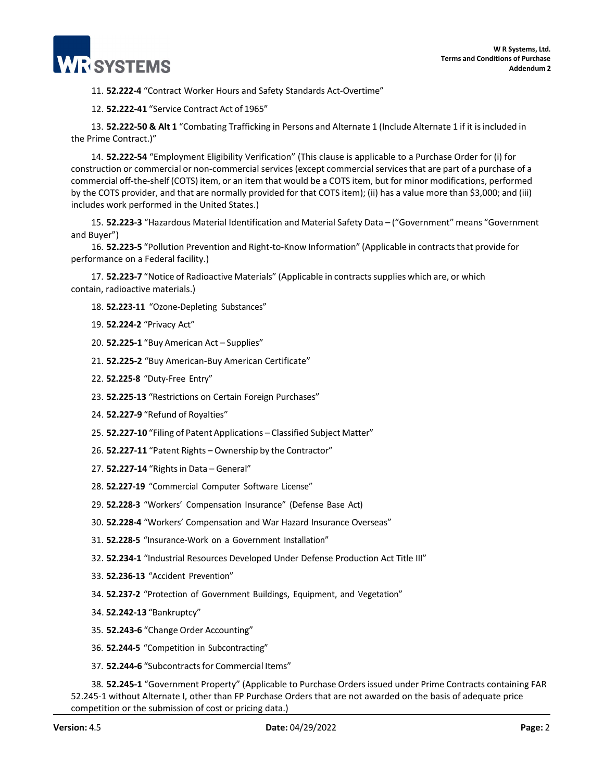

11. **52.222-4** "Contract Worker Hours and Safety Standards Act-Overtime"

12. **52.222-41** "Service Contract Act of 1965"

13. **52.222-50 & Alt 1** "Combating Trafficking in Persons and Alternate 1 (Include Alternate 1 if it isincluded in the Prime Contract.)"

14. **52.222-54** "Employment Eligibility Verification" (This clause is applicable to a Purchase Order for (i) for construction or commercial or non-commercial services (except commercial services that are part of a purchase of a commercial off-the-shelf (COTS) item, or an item that would be a COTS item, but for minor modifications, performed by the COTS provider, and that are normally provided for that COTS item); (ii) has a value more than \$3,000; and (iii) includes work performed in the United States.)

15. **52.223-3** "Hazardous Material Identification and Material Safety Data – ("Government" means "Government and Buyer")

16. **52.223-5** "Pollution Prevention and Right-to-Know Information" (Applicable in contractsthat provide for performance on a Federal facility.)

17. **52.223-7** "Notice of Radioactive Materials" (Applicable in contractssupplies which are, or which contain, radioactive materials.)

- 18. **52.223-11** "Ozone-Depleting Substances"
- 19. **52.224-2** "Privacy Act"
- 20. **52.225-1** "Buy American Act Supplies"
- 21. **52.225-2** "Buy American-Buy American Certificate"
- 22. **52.225-8** "Duty-Free Entry"
- 23. **52.225-13** "Restrictions on Certain Foreign Purchases"
- 24. **52.227-9** "Refund of Royalties"
- 25. **52.227-10** "Filing of Patent Applications Classified Subject Matter"
- 26. **52.227-11** "Patent Rights Ownership by the Contractor"
- 27. **52.227-14** "Rightsin Data General"
- 28. **52.227-19** "Commercial Computer Software License"
- 29. **52.228-3** "Workers' Compensation Insurance" (Defense Base Act)
- 30. **52.228-4** "Workers' Compensation and War Hazard Insurance Overseas"
- 31. **52.228-5** "Insurance-Work on a Government Installation"
- 32. **52.234-1** "Industrial Resources Developed Under Defense Production Act Title III"
- 33. **52.236-13** "Accident Prevention"
- 34. **52.237-2** "Protection of Government Buildings, Equipment, and Vegetation"
- 34. **52.242-13** "Bankruptcy"
- 35. **52.243-6** "Change Order Accounting"
- 36. **52.244-5** "Competition in Subcontracting"
- 37. **52.244-6** "Subcontractsfor Commercial Items"

38. **52.245-1** "Government Property" (Applicable to Purchase Orders issued under Prime Contracts containing FAR 52.245-1 without Alternate I, other than FP Purchase Orders that are not awarded on the basis of adequate price competition or the submission of cost or pricing data.)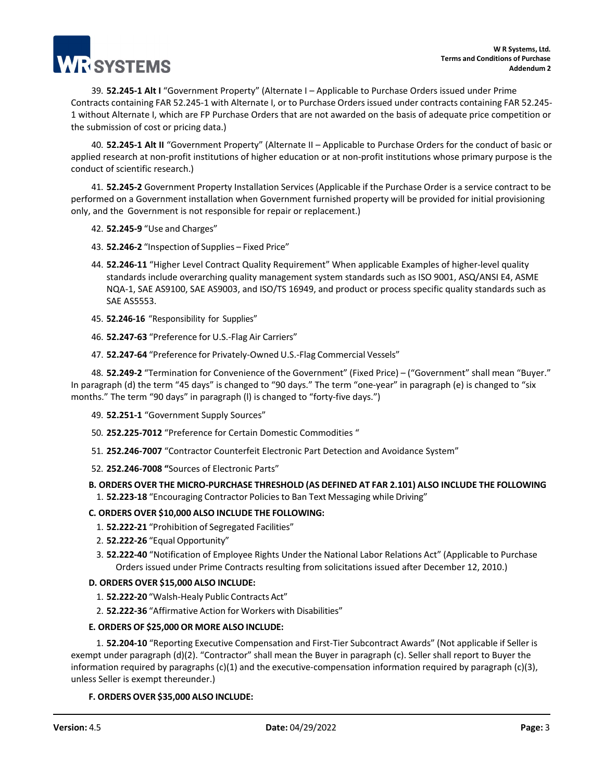

39. **52.245-1 Alt I** "Government Property" (Alternate I – Applicable to Purchase Orders issued under Prime Contracts containing FAR 52.245-1 with Alternate I, or to Purchase Orders issued under contracts containing FAR 52.245- 1 without Alternate I, which are FP Purchase Orders that are not awarded on the basis of adequate price competition or the submission of cost or pricing data.)

40. **52.245-1 Alt II** "Government Property" (Alternate II – Applicable to Purchase Orders for the conduct of basic or applied research at non-profit institutions of higher education or at non-profit institutions whose primary purpose is the conduct of scientific research.)

41. **52.245-2** Government Property Installation Services (Applicable if the Purchase Order is a service contract to be performed on a Government installation when Government furnished property will be provided for initial provisioning only, and the Government is not responsible for repair or replacement.)

- 42. **52.245-9** "Use and Charges"
- 43. **52.246-2** "Inspection of Supplies Fixed Price"
- 44. **52.246-11** "Higher Level Contract Quality Requirement" When applicable Examples of higher-level quality standards include overarching quality management system standards such as ISO 9001, ASQ/ANSI E4, ASME NQA-1, SAE AS9100, SAE AS9003, and ISO/TS 16949, and product or process specific quality standards such as SAE AS5553.
- 45. **52.246-16** "Responsibility for Supplies"
- 46. **52.247-63** "Preference for U.S.-Flag Air Carriers"
- 47. **52.247-64** "Preference for Privately-Owned U.S.-Flag Commercial Vessels"

48. **52.249-2** "Termination for Convenience of the Government" (Fixed Price) – ("Government" shall mean "Buyer." In paragraph (d) the term "45 days" is changed to "90 days." The term "one-year" in paragraph (e) is changed to "six months." The term "90 days" in paragraph (l) is changed to "forty-five days.")

- 49. **52.251-1** "Government Supply Sources"
- 50. **252.225-7012** "Preference for Certain Domestic Commodities "
- 51. **252.246-7007** "Contractor Counterfeit Electronic Part Detection and Avoidance System"
- 52. **252.246-7008 "**Sources of Electronic Parts"

# **B. ORDERS OVER THE MICRO-PURCHASE THRESHOLD (AS DEFINED AT FAR 2.101) ALSO INCLUDE THE FOLLOWING**

1. **52.223-18** "Encouraging Contractor Policiesto Ban Text Messaging while Driving"

#### **C. ORDERS OVER \$10,000 ALSO INCLUDE THE FOLLOWING:**

- 1. **52.222-21** "Prohibition of Segregated Facilities"
- 2. **52.222-26** "Equal Opportunity"
- 3. **52.222-40** "Notification of Employee Rights Under the National Labor Relations Act" (Applicable to Purchase Orders issued under Prime Contracts resulting from solicitations issued after December 12, 2010.)

#### **D. ORDERS OVER \$15,000 ALSO INCLUDE:**

- 1. **52.222-20** "Walsh-Healy Public Contracts Act"
- 2. **52.222-36** "Affirmative Action for Workers with Disabilities"

#### **E. ORDERS OF \$25,000 OR MORE ALSO INCLUDE:**

1. **52.204-10** "Reporting Executive Compensation and First-Tier Subcontract Awards" (Not applicable if Seller is exempt under paragraph (d)(2). "Contractor" shall mean the Buyer in paragraph (c). Seller shall report to Buyer the information required by paragraphs (c)(1) and the executive-compensation information required by paragraph (c)(3), unless Seller is exempt thereunder.)

# **F. ORDERS OVER \$35,000 ALSO INCLUDE:**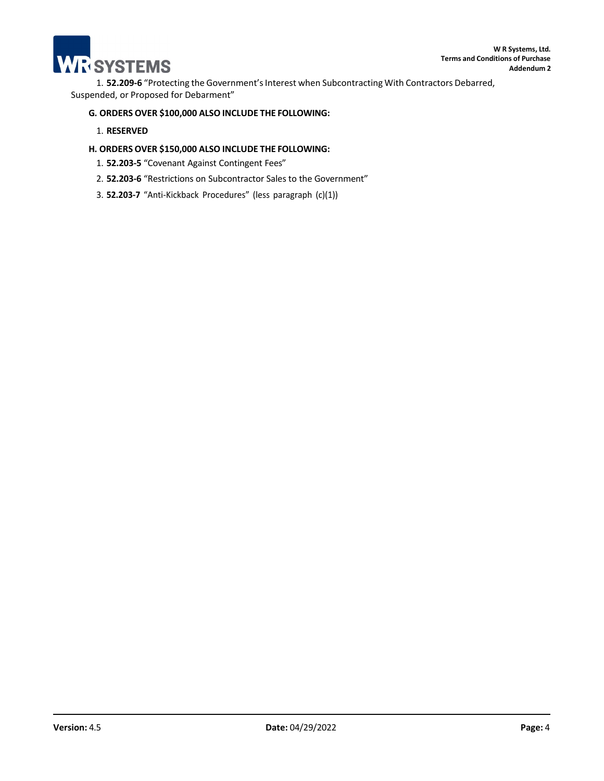

1. **52.209-6** "Protecting the Government'sInterest when Subcontracting With Contractors Debarred, Suspended, or Proposed for Debarment"

## **G. ORDERS OVER \$100,000 ALSO INCLUDE THE FOLLOWING:**

## 1. **RESERVED**

# **H. ORDERS OVER \$150,000 ALSO INCLUDE THE FOLLOWING:**

- 1. **52.203-5** "Covenant Against Contingent Fees"
- 2. **52.203-6** "Restrictions on Subcontractor Sales to the Government"
- 3. **52.203-7** "Anti-Kickback Procedures" (less paragraph (c)(1))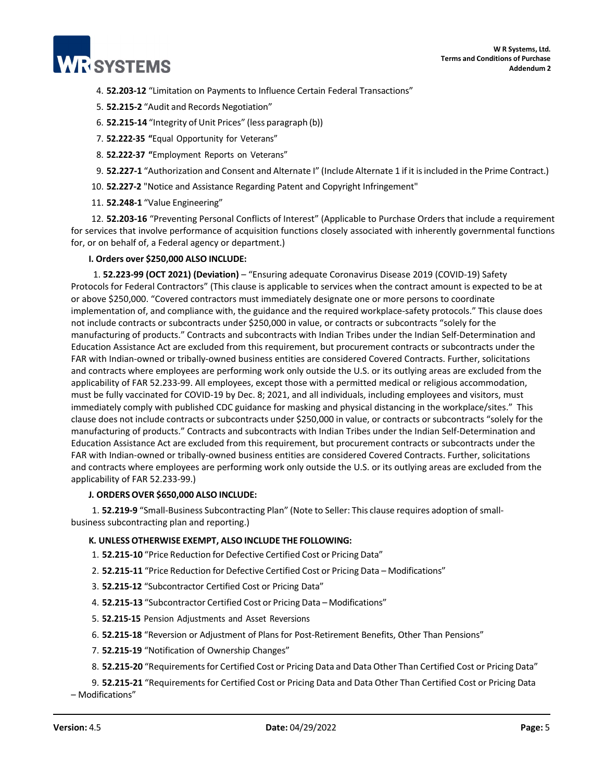

- 4. **52.203-12** "Limitation on Payments to Influence Certain Federal Transactions"
- 5. **52.215-2** "Audit and Records Negotiation"
- 6. **52.215-14** "Integrity of Unit Prices" (less paragraph (b))
- 7. **52.222-35 "**Equal Opportunity for Veterans"
- 8. **52.222-37 "**Employment Reports on Veterans"
- 9. **52.227-1** "Authorization and Consent and Alternate I" (Include Alternate 1 if it isincluded in the Prime Contract.)
- 10. **52.227-2** "Notice and Assistance Regarding Patent and Copyright Infringement"
- 11. **52.248-1** "Value Engineering"

12. **52.203-16** "Preventing Personal Conflicts of Interest" (Applicable to Purchase Orders that include a requirement for services that involve performance of acquisition functions closely associated with inherently governmental functions for, or on behalf of, a Federal agency or department.)

#### **I. Orders over \$250,000 ALSO INCLUDE:**

1. **52.223-99 (OCT 2021) (Deviation)** – "Ensuring adequate Coronavirus Disease 2019 (COVID-19) Safety Protocols for Federal Contractors" (This clause is applicable to services when the contract amount is expected to be at or above \$250,000. "Covered contractors must immediately designate one or more persons to coordinate implementation of, and compliance with, the guidance and the required workplace-safety protocols." This clause does not include contracts or subcontracts under \$250,000 in value, or contracts or subcontracts "solely for the manufacturing of products." Contracts and subcontracts with Indian Tribes under the Indian Self-Determination and Education Assistance Act are excluded from this requirement, but procurement contracts or subcontracts under the FAR with Indian-owned or tribally-owned business entities are considered Covered Contracts. Further, solicitations and contracts where employees are performing work only outside the U.S. or its outlying areas are excluded from the applicability of FAR 52.233-99. All employees, except those with a permitted medical or religious accommodation, must be fully vaccinated for COVID-19 by Dec. 8; 2021, and all individuals, including employees and visitors, must immediately comply with published CDC guidance for masking and physical distancing in the workplace/sites." This clause does not include contracts or subcontracts under \$250,000 in value, or contracts or subcontracts "solely for the manufacturing of products." Contracts and subcontracts with Indian Tribes under the Indian Self-Determination and Education Assistance Act are excluded from this requirement, but procurement contracts or subcontracts under the FAR with Indian-owned or tribally-owned business entities are considered Covered Contracts. Further, solicitations and contracts where employees are performing work only outside the U.S. or its outlying areas are excluded from the applicability of FAR 52.233-99.)

#### **J. ORDERSOVER \$650,000 ALSO INCLUDE:**

1. **52.219-9** "Small-Business Subcontracting Plan" (Note to Seller: This clause requires adoption of smallbusiness subcontracting plan and reporting.)

#### **K. UNLESS OTHERWISE EXEMPT, ALSO INCLUDE THE FOLLOWING:**

- 1. **52.215-10** "Price Reduction for Defective Certified Cost or Pricing Data"
- 2. **52.215-11** "Price Reduction for Defective Certified Cost or Pricing Data Modifications"
- 3. **52.215-12** "Subcontractor Certified Cost or Pricing Data"
- 4. **52.215-13** "Subcontractor Certified Cost or Pricing Data Modifications"
- 5. **52.215-15** Pension Adjustments and Asset Reversions
- 6. **52.215-18** "Reversion or Adjustment of Plans for Post-Retirement Benefits, Other Than Pensions"
- 7. **52.215-19** "Notification of Ownership Changes"
- 8. **52.215-20** "Requirementsfor Certified Cost or Pricing Data and Data Other Than Certified Cost or Pricing Data"

9. **52.215-21** "Requirements for Certified Cost or Pricing Data and Data Other Than Certified Cost or Pricing Data – Modifications"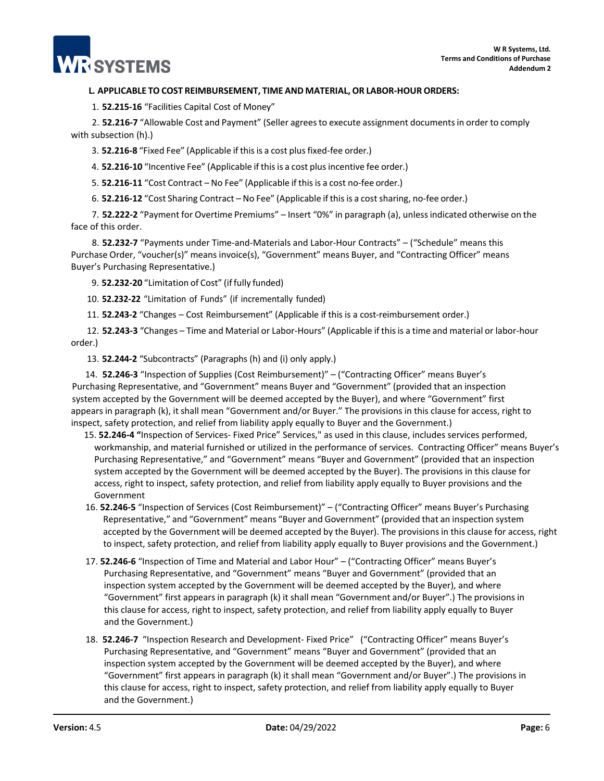#### **L. APPLICABLE TO COST REIMBURSEMENT, TIME AND MATERIAL, OR LABOR-HOUR ORDERS:**

1. **52.215-16** "Facilities Capital Cost of Money"

**RISYSTEMS** 

2. **52.216-7** "Allowable Cost and Payment" (Seller agreesto execute assignment documentsin order to comply with subsection (h).)

3. **52.216-8** "Fixed Fee" (Applicable if thisis a cost plusfixed-fee order.)

4. **52.216-10** "Incentive Fee" (Applicable if thisis a cost plusincentive fee order.)

5. **52.216-11** "Cost Contract – No Fee" (Applicable if thisis a cost no-fee order.)

6. **52.216-12** "Cost Sharing Contract – No Fee" (Applicable if thisis a costsharing, no-fee order.)

7. **52.222-2** "Payment for Overtime Premiums" – Insert "0%" in paragraph (a), unlessindicated otherwise on the face of this order.

8. **52.232-7** "Payments under Time-and-Materials and Labor-Hour Contracts" – ("Schedule" means this Purchase Order, "voucher(s)" means invoice(s), "Government" means Buyer, and "Contracting Officer" means Buyer's Purchasing Representative.)

9. **52.232-20** "Limitation of Cost" (if fully funded)

10. **52.232-22** "Limitation of Funds" (if incrementally funded)

11. **52.243-2** "Changes – Cost Reimbursement" (Applicable if this is a cost-reimbursement order.)

12. **52.243-3** "Changes – Time and Material or Labor-Hours" (Applicable if thisis a time and material or labor-hour order.)

13. **52.244-2** "Subcontracts" (Paragraphs (h) and (i) only apply.)

14. **52.246-3** "Inspection of Supplies (Cost Reimbursement)" – ("Contracting Officer" means Buyer's Purchasing Representative, and "Government" means Buyer and "Government" (provided that an inspection system accepted by the Government will be deemed accepted by the Buyer), and where "Government" first appears in paragraph (k), it shall mean "Government and/or Buyer." The provisions in this clause for access, right to inspect, safety protection, and relief from liability apply equally to Buyer and the Government.)

- 15. **52.246-4 "**Inspection of Services- Fixed Price" Services," as used in this clause, includes services performed, workmanship, and material furnished or utilized in the performance of services. Contracting Officer" means Buyer's Purchasing Representative," and "Government" means "Buyer and Government" (provided that an inspection system accepted by the Government will be deemed accepted by the Buyer). The provisions in this clause for access, right to inspect, safety protection, and relief from liability apply equally to Buyer provisions and the Government
- 16. **52.246-5** "Inspection of Services (Cost Reimbursement)" ("Contracting Officer" means Buyer's Purchasing Representative," and "Government" means "Buyer and Government" (provided that an inspection system accepted by the Government will be deemed accepted by the Buyer). The provisions in this clause for access, right to inspect, safety protection, and relief from liability apply equally to Buyer provisions and the Government.)
- 17. **52.246-6** "Inspection of Time and Material and Labor Hour" ("Contracting Officer" means Buyer's Purchasing Representative, and "Government" means "Buyer and Government" (provided that an inspection system accepted by the Government will be deemed accepted by the Buyer), and where "Government" first appears in paragraph (k) it shall mean "Government and/or Buyer".) The provisions in this clause for access, right to inspect, safety protection, and relief from liability apply equally to Buyer and the Government.)
- 18. **52.246-7** "Inspection Research and Development- Fixed Price" ("Contracting Officer" means Buyer's Purchasing Representative, and "Government" means "Buyer and Government" (provided that an inspection system accepted by the Government will be deemed accepted by the Buyer), and where "Government" first appears in paragraph (k) it shall mean "Government and/or Buyer".) The provisions in this clause for access, right to inspect, safety protection, and relief from liability apply equally to Buyer and the Government.)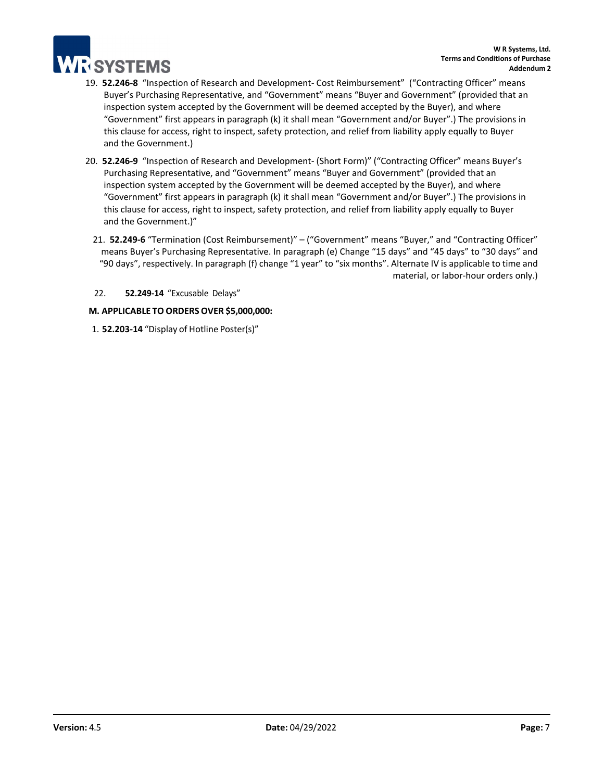

- 19. **52.246-8** "Inspection of Research and Development- Cost Reimbursement" ("Contracting Officer" means Buyer's Purchasing Representative, and "Government" means "Buyer and Government" (provided that an inspection system accepted by the Government will be deemed accepted by the Buyer), and where "Government" first appears in paragraph (k) it shall mean "Government and/or Buyer".) The provisions in this clause for access, right to inspect, safety protection, and relief from liability apply equally to Buyer and the Government.)
- 20. **52.246-9** "Inspection of Research and Development- (Short Form)" ("Contracting Officer" means Buyer's Purchasing Representative, and "Government" means "Buyer and Government" (provided that an inspection system accepted by the Government will be deemed accepted by the Buyer), and where "Government" first appears in paragraph (k) it shall mean "Government and/or Buyer".) The provisions in this clause for access, right to inspect, safety protection, and relief from liability apply equally to Buyer and the Government.)"
	- 21. **52.249-6** "Termination (Cost Reimbursement)" ("Government" means "Buyer," and "Contracting Officer" means Buyer's Purchasing Representative. In paragraph (e) Change "15 days" and "45 days" to "30 days" and "90 days", respectively. In paragraph (f) change "1 year" to "six months". Alternate IV is applicable to time and material, or labor-hour orders only.)
	- 22. **52.249-14** "Excusable Delays"

# **M. APPLICABLE TO ORDERS OVER \$5,000,000:**

1. **52.203-14** "Display of Hotline Poster(s)"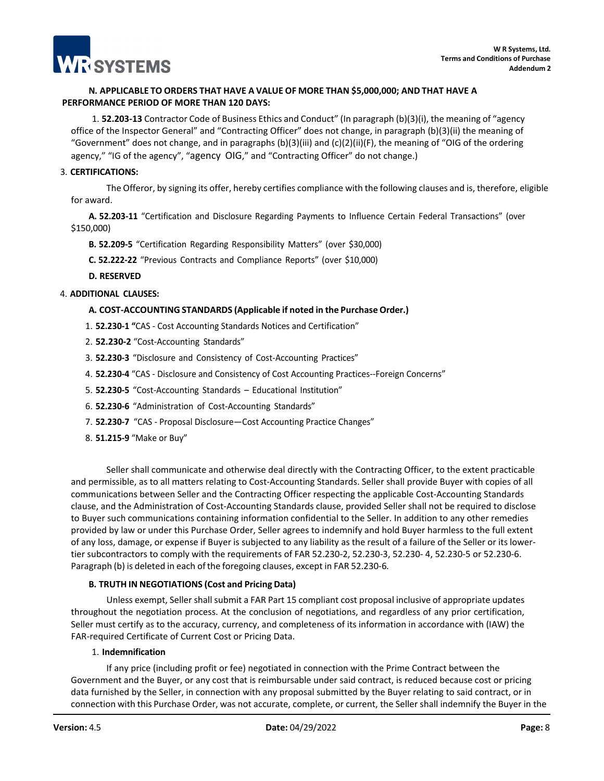

# **N. APPLICABLE TO ORDERS THAT HAVE A VALUE OF MORE THAN \$5,000,000; AND THAT HAVE A PERFORMANCE PERIOD OF MORE THAN 120 DAYS:**

1. **52.203-13** Contractor Code of Business Ethics and Conduct" (In paragraph (b)(3)(i), the meaning of "agency office of the Inspector General" and "Contracting Officer" does not change, in paragraph (b)(3)(ii) the meaning of "Government" does not change, and in paragraphs  $(b)(3)(iii)$  and  $(c)(2)(ii)(F)$ , the meaning of "OIG of the ordering agency," "IG of the agency", "agency OIG," and "Contracting Officer" do not change.)

#### 3. **CERTIFICATIONS:**

The Offeror, by signing its offer, hereby certifies compliance with the following clauses and is, therefore, eligible for award.

**A. 52.203-11** "Certification and Disclosure Regarding Payments to Influence Certain Federal Transactions" (over \$150,000)

**B. 52.209-5** "Certification Regarding Responsibility Matters" (over \$30,000)

**C. 52.222-22** "Previous Contracts and Compliance Reports" (over \$10,000)

**D. RESERVED**

## 4. **ADDITIONAL CLAUSES:**

## **A. COST-ACCOUNTING STANDARDS (Applicable if noted in the Purchase Order.)**

- 1. **52.230-1 "**CAS Cost Accounting Standards Notices and Certification"
- 2. **52.230-2** "Cost-Accounting Standards"
- 3. **52.230-3** "Disclosure and Consistency of Cost-Accounting Practices"
- 4. **52.230-4** "CAS Disclosure and Consistency of Cost Accounting Practices--Foreign Concerns"
- 5. **52.230-5** "Cost-Accounting Standards Educational Institution"
- 6. **52.230-6** "Administration of Cost-Accounting Standards"
- 7. **52.230-7** "CAS Proposal Disclosure—Cost Accounting Practice Changes"
- 8. **51.215-9** "Make or Buy"

Seller shall communicate and otherwise deal directly with the Contracting Officer, to the extent practicable and permissible, as to all matters relating to Cost-Accounting Standards. Seller shall provide Buyer with copies of all communications between Seller and the Contracting Officer respecting the applicable Cost-Accounting Standards clause, and the Administration of Cost-Accounting Standards clause, provided Seller shall not be required to disclose to Buyer such communications containing information confidential to the Seller. In addition to any other remedies provided by law or under this Purchase Order, Seller agrees to indemnify and hold Buyer harmless to the full extent of any loss, damage, or expense if Buyer is subjected to any liability as the result of a failure of the Seller or its lowertier subcontractors to comply with the requirements of FAR 52.230-2, 52.230-3, 52.230- 4, 52.230-5 or 52.230-6. Paragraph (b) is deleted in each of the foregoing clauses, except in FAR 52.230-6.

#### **B. TRUTH IN NEGOTIATIONS (Cost and Pricing Data)**

Unless exempt, Seller shall submit a FAR Part 15 compliant cost proposal inclusive of appropriate updates throughout the negotiation process. At the conclusion of negotiations, and regardless of any prior certification, Seller must certify as to the accuracy, currency, and completeness of its information in accordance with (IAW) the FAR-required Certificate of Current Cost or Pricing Data.

# 1. **Indemnification**

If any price (including profit or fee) negotiated in connection with the Prime Contract between the Government and the Buyer, or any cost that is reimbursable under said contract, is reduced because cost or pricing data furnished by the Seller, in connection with any proposal submitted by the Buyer relating to said contract, or in connection with this Purchase Order, was not accurate, complete, or current, the Seller shall indemnify the Buyer in the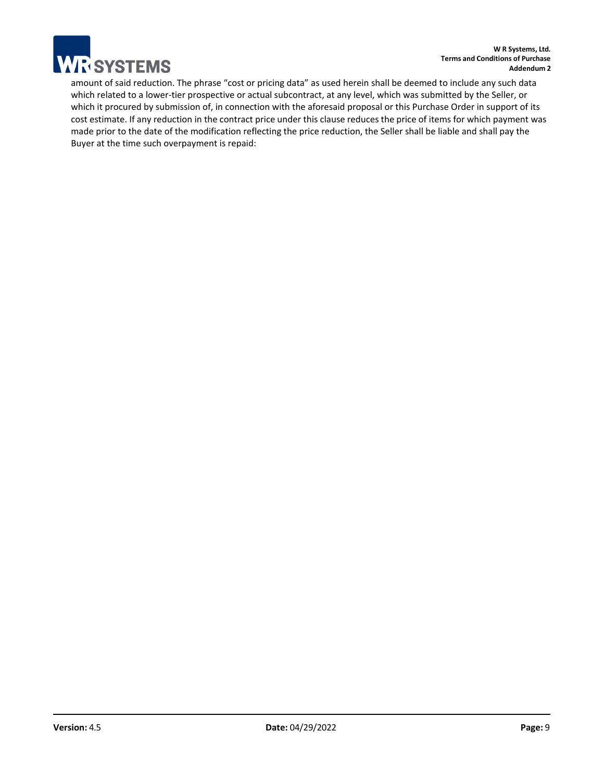

amount of said reduction. The phrase "cost or pricing data" as used herein shall be deemed to include any such data which related to a lower-tier prospective or actual subcontract, at any level, which was submitted by the Seller, or which it procured by submission of, in connection with the aforesaid proposal or this Purchase Order in support of its cost estimate. If any reduction in the contract price under this clause reduces the price of items for which payment was made prior to the date of the modification reflecting the price reduction, the Seller shall be liable and shall pay the Buyer at the time such overpayment is repaid: